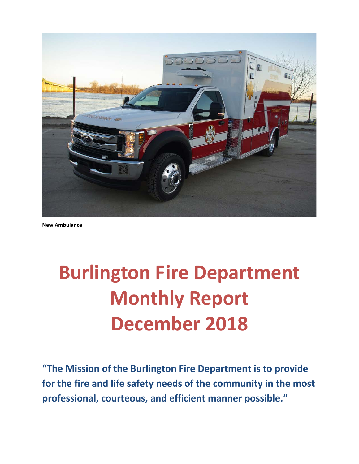

**New Ambulance**

# **Burlington Fire Department Monthly Report December 2018**

**"The Mission of the Burlington Fire Department is to provide for the fire and life safety needs of the community in the most professional, courteous, and efficient manner possible."**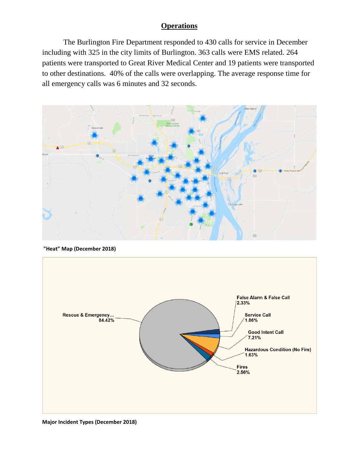### **Operations**

The Burlington Fire Department responded to 430 calls for service in December including with 325 in the city limits of Burlington. 363 calls were EMS related. 264 patients were transported to Great River Medical Center and 19 patients were transported to other destinations. 40% of the calls were overlapping. The average response time for all emergency calls was 6 minutes and 32 seconds.



**"Heat" Map (December 2018)**



**Major Incident Types (December 2018)**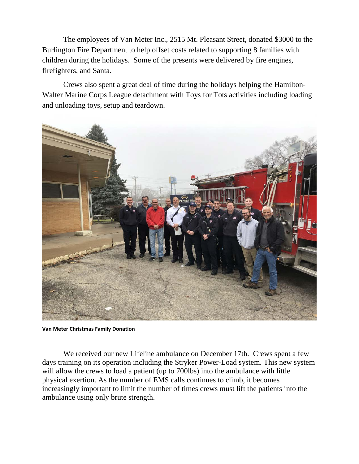The employees of Van Meter Inc., 2515 Mt. Pleasant Street, donated \$3000 to the Burlington Fire Department to help offset costs related to supporting 8 families with children during the holidays. Some of the presents were delivered by fire engines, firefighters, and Santa.

Crews also spent a great deal of time during the holidays helping the Hamilton-Walter Marine Corps League detachment with Toys for Tots activities including loading and unloading toys, setup and teardown.



**Van Meter Christmas Family Donation**

We received our new Lifeline ambulance on December 17th. Crews spent a few days training on its operation including the Stryker Power-Load system. This new system will allow the crews to load a patient (up to 700lbs) into the ambulance with little physical exertion. As the number of EMS calls continues to climb, it becomes increasingly important to limit the number of times crews must lift the patients into the ambulance using only brute strength.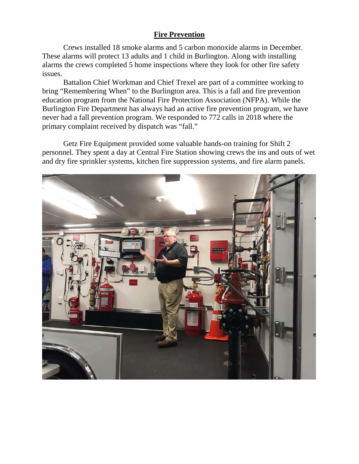### **Fire Prevention**

Crews installed 18 smoke alarms and 5 carbon monoxide alarms in December. These alarms will protect 13 adults and 1 child in Burlington. Along with installing alarms the crews completed 5 home inspections where they look for other fire safety issues.

Battalion Chief Workman and Chief Trexel are part of a committee working to bring "Remembering When" to the Burlington area. This is a fall and fire prevention education program from the National Fire Protection Association (NFPA). While the Burlington Fire Department has always had an active fire prevention program, we have never had a fall prevention program. We responded to 772 calls in 2018 where the primary complaint received by dispatch was "fall."

Getz Fire Equipment provided some valuable hands-on training for Shift 2 personnel. They spent a day at Central Fire Station showing crews the ins and outs of wet and dry fire sprinkler systems, kitchen fire suppression systems, and fire alarm panels.

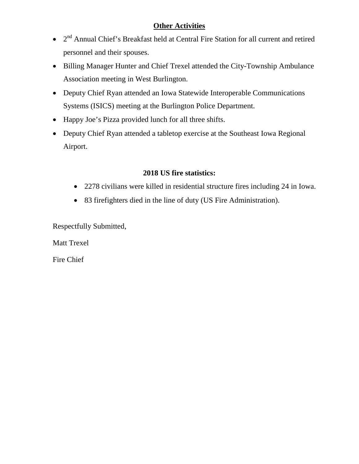### **Other Activities**

- 2<sup>nd</sup> Annual Chief's Breakfast held at Central Fire Station for all current and retired personnel and their spouses.
- Billing Manager Hunter and Chief Trexel attended the City-Township Ambulance Association meeting in West Burlington.
- Deputy Chief Ryan attended an Iowa Statewide Interoperable Communications Systems (ISICS) meeting at the Burlington Police Department.
- Happy Joe's Pizza provided lunch for all three shifts.
- Deputy Chief Ryan attended a tabletop exercise at the Southeast Iowa Regional Airport.

### **2018 US fire statistics:**

- 2278 civilians were killed in residential structure fires including 24 in Iowa.
- 83 firefighters died in the line of duty (US Fire Administration).

Respectfully Submitted,

Matt Trexel

Fire Chief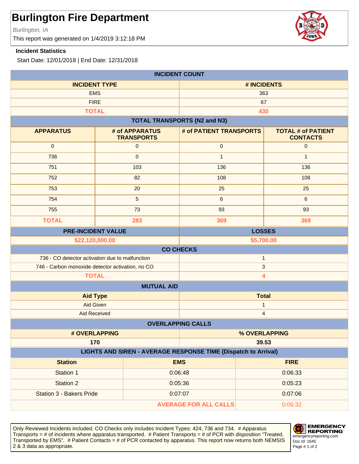Burlington, IA

This report was generated on 1/4/2019 3:12:18 PM

#### **Incident Statistics**

Start Date: 12/01/2018 | End Date: 12/31/2018

| <b>INCIDENT COUNT</b>                                                           |  |                                     |                                     |               |                                              |
|---------------------------------------------------------------------------------|--|-------------------------------------|-------------------------------------|---------------|----------------------------------------------|
| <b>INCIDENT TYPE</b>                                                            |  | # INCIDENTS                         |                                     |               |                                              |
| <b>EMS</b>                                                                      |  | 363                                 |                                     |               |                                              |
| <b>FIRE</b>                                                                     |  |                                     | 67                                  |               |                                              |
| <b>TOTAL</b>                                                                    |  |                                     |                                     | 430           |                                              |
|                                                                                 |  |                                     | <b>TOTAL TRANSPORTS (N2 and N3)</b> |               |                                              |
| <b>APPARATUS</b>                                                                |  | # of APPARATUS<br><b>TRANSPORTS</b> | # of PATIENT TRANSPORTS             |               | <b>TOTAL # of PATIENT</b><br><b>CONTACTS</b> |
| $\mathbf 0$                                                                     |  | $\mathsf{O}\xspace$                 | $\mathbf 0$                         |               | $\mathbf 0$                                  |
| 736                                                                             |  | $\mathbf{0}$                        | $\mathbf{1}$                        |               | $\mathbf{1}$                                 |
| 751                                                                             |  | 103                                 | 136                                 |               | 136                                          |
| 752                                                                             |  | 82                                  | 108                                 |               | 108                                          |
| 753                                                                             |  | 20                                  | 25                                  |               | 25                                           |
| 754                                                                             |  | 5                                   | $\,6\,$                             |               | 6                                            |
| 755                                                                             |  | 73                                  | 93                                  |               | 93                                           |
| <b>TOTAL</b>                                                                    |  | 283                                 | 369                                 |               | 369                                          |
| <b>PRE-INCIDENT VALUE</b>                                                       |  |                                     |                                     | <b>LOSSES</b> |                                              |
| \$22,120,000.00                                                                 |  |                                     |                                     | \$5,700.00    |                                              |
| <b>CO CHECKS</b>                                                                |  |                                     |                                     |               |                                              |
| 736 - CO detector activation due to malfunction<br>$\mathbf{1}$<br>$\mathbf{3}$ |  |                                     |                                     |               |                                              |
| 746 - Carbon monoxide detector activation, no CO                                |  |                                     |                                     |               |                                              |
| <b>TOTAL</b><br>4                                                               |  |                                     |                                     |               |                                              |
| <b>MUTUAL AID</b>                                                               |  |                                     |                                     |               |                                              |
| <b>Aid Type</b>                                                                 |  |                                     | <b>Total</b>                        |               |                                              |
| Aid Given                                                                       |  | 1                                   |                                     |               |                                              |
| <b>Aid Received</b><br>$\overline{\mathbf{4}}$<br><b>OVERLAPPING CALLS</b>      |  |                                     |                                     |               |                                              |
| # OVERLAPPING                                                                   |  |                                     |                                     |               |                                              |
|                                                                                 |  |                                     | % OVERLAPPING<br>39.53              |               |                                              |
| 170<br>LIGHTS AND SIREN - AVERAGE RESPONSE TIME (Dispatch to Arrival)           |  |                                     |                                     |               |                                              |
| <b>Station</b>                                                                  |  |                                     | <b>EMS</b>                          |               | <b>FIRE</b>                                  |
| Station 1                                                                       |  |                                     | 0:06:48                             |               | 0:06:33                                      |
| <b>Station 2</b>                                                                |  | 0:05:36                             |                                     |               | 0:05:23                                      |
| <b>Station 3 - Bakers Pride</b>                                                 |  | 0:07:07                             |                                     |               | 0:07:06                                      |
| <b>AVERAGE FOR ALL CALLS</b>                                                    |  |                                     | 0:06:32                             |               |                                              |

Only Reviewed Incidents included. CO Checks only includes Incident Types: 424, 736 and 734. # Apparatus Transports = # of incidents where apparatus transported. # Patient Transports = # of PCR with disposition "Treated, Transported by EMS". # Patient Contacts = # of PCR contacted by apparatus. This report now returns both NEMSIS 2 & 3 data as appropriate. The set of 2 set of 2 set of 2 set of 2 set of 2 set of 2 set of 2 set of 2 set of 2



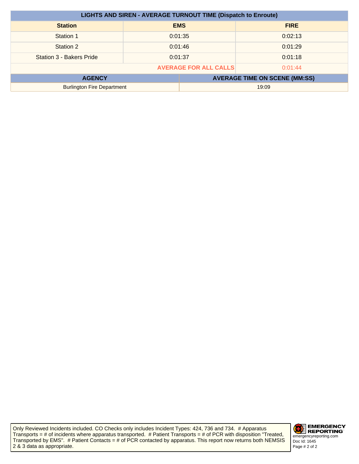| <b>LIGHTS AND SIREN - AVERAGE TURNOUT TIME (Dispatch to Enroute)</b> |         |            |             |
|----------------------------------------------------------------------|---------|------------|-------------|
| <b>Station</b>                                                       |         | <b>EMS</b> | <b>FIRE</b> |
| Station 1                                                            |         | 0:01:35    | 0:02:13     |
| Station 2                                                            | 0:01:46 |            | 0:01:29     |
| Station 3 - Bakers Pride                                             | 0:01:37 |            | 0:01:18     |
| <b>AVERAGE FOR ALL CALLS</b><br>0:01:44                              |         |            |             |
| <b>AVERAGE TIME ON SCENE (MM:SS)</b><br><b>AGENCY</b>                |         |            |             |
| <b>Burlington Fire Department</b><br>19:09                           |         |            |             |

Only Reviewed Incidents included. CO Checks only includes Incident Types: 424, 736 and 734. # Apparatus Transports = # of incidents where apparatus transported. # Patient Transports = # of PCR with disposition "Treated, Transported by EMS". # Patient Contacts = # of PCR contacted by apparatus. This report now returns both NEMSIS 2 & 3 data as appropriate.

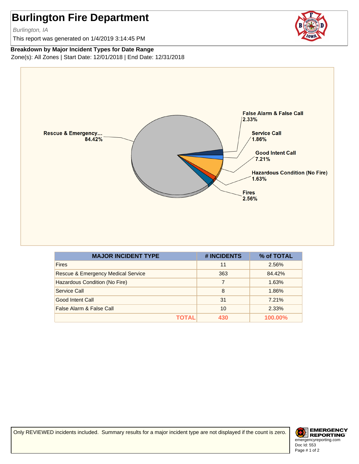Burlington, IA

This report was generated on 1/4/2019 3:14:45 PM



#### **Breakdown by Major Incident Types for Date Range**

Zone(s): All Zones | Start Date: 12/01/2018 | End Date: 12/31/2018



| <b>MAJOR INCIDENT TYPE</b>                    | # INCIDENTS | % of TOTAL     |
|-----------------------------------------------|-------------|----------------|
| <b>Fires</b>                                  | 11          | 2.56%          |
| <b>Rescue &amp; Emergency Medical Service</b> | 363         | 84.42%         |
| Hazardous Condition (No Fire)                 |             | 1.63%          |
| Service Call                                  | 8           | 1.86%          |
| Good Intent Call                              | 31          | 7.21%          |
| False Alarm & False Call                      | 10          | 2.33%          |
| ΤΟΤΑL                                         | 430         | <b>100.00%</b> |

Only REVIEWED incidents included. Summary results for a major incident type are not displayed if the count is zero.

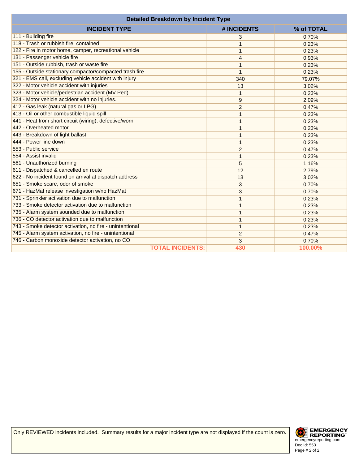| <b>Detailed Breakdown by Incident Type</b>               |                |            |  |
|----------------------------------------------------------|----------------|------------|--|
| <b>INCIDENT TYPE</b>                                     | # INCIDENTS    | % of TOTAL |  |
| 111 - Building fire                                      | 3              | 0.70%      |  |
| 118 - Trash or rubbish fire, contained                   | 1              | 0.23%      |  |
| 122 - Fire in motor home, camper, recreational vehicle   | 1              | 0.23%      |  |
| 131 - Passenger vehicle fire                             | $\overline{4}$ | 0.93%      |  |
| 151 - Outside rubbish, trash or waste fire               | 1              | 0.23%      |  |
| 155 - Outside stationary compactor/compacted trash fire  | 1              | 0.23%      |  |
| 321 - EMS call, excluding vehicle accident with injury   | 340            | 79.07%     |  |
| 322 - Motor vehicle accident with injuries               | 13             | 3.02%      |  |
| 323 - Motor vehicle/pedestrian accident (MV Ped)         | $\mathbf{1}$   | 0.23%      |  |
| 324 - Motor vehicle accident with no injuries.           | 9              | 2.09%      |  |
| 412 - Gas leak (natural gas or LPG)                      | $\overline{c}$ | 0.47%      |  |
| 413 - Oil or other combustible liquid spill              | 1              | 0.23%      |  |
| 441 - Heat from short circuit (wiring), defective/worn   | 1              | 0.23%      |  |
| 442 - Overheated motor                                   | 1              | 0.23%      |  |
| 443 - Breakdown of light ballast                         | 1              | 0.23%      |  |
| 444 - Power line down                                    | 1              | 0.23%      |  |
| 553 - Public service                                     | $\overline{2}$ | 0.47%      |  |
| 554 - Assist invalid                                     | 1              | 0.23%      |  |
| 561 - Unauthorized burning                               | 5              | 1.16%      |  |
| 611 - Dispatched & cancelled en route                    | 12             | 2.79%      |  |
| 622 - No incident found on arrival at dispatch address   | 13             | 3.02%      |  |
| 651 - Smoke scare, odor of smoke                         | 3              | 0.70%      |  |
| 671 - HazMat release investigation w/no HazMat           | 3              | 0.70%      |  |
| 731 - Sprinkler activation due to malfunction            | 1              | 0.23%      |  |
| 733 - Smoke detector activation due to malfunction       | 1              | 0.23%      |  |
| 735 - Alarm system sounded due to malfunction            | 1              | 0.23%      |  |
| 736 - CO detector activation due to malfunction          | $\mathbf{1}$   | 0.23%      |  |
| 743 - Smoke detector activation, no fire - unintentional | $\mathbf{1}$   | 0.23%      |  |
| 745 - Alarm system activation, no fire - unintentional   | $\overline{2}$ | 0.47%      |  |
| 746 - Carbon monoxide detector activation, no CO         | 3              | 0.70%      |  |
| <b>TOTAL INCIDENTS:</b>                                  | 430            | 100.00%    |  |

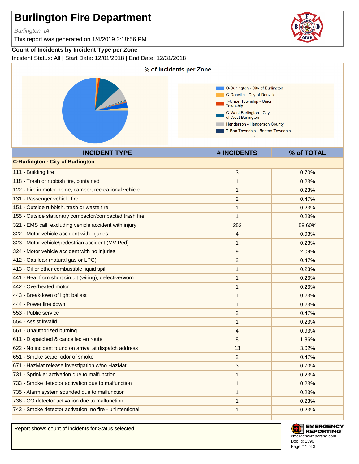Burlington, IA

This report was generated on 1/4/2019 3:18:56 PM

### **Count of Incidents by Incident Type per Zone**

Incident Status: All | Start Date: 12/01/2018 | End Date: 12/31/2018



Report shows count of incidents for Status selected.





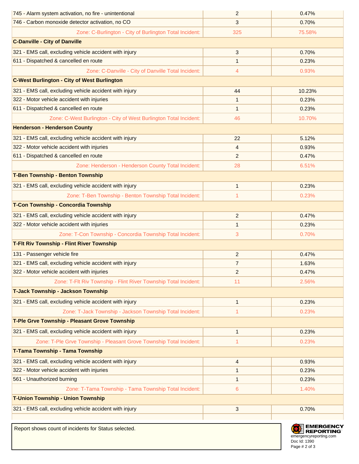| 745 - Alarm system activation, no fire - unintentional              | $\overline{2}$ | 0.47%            |
|---------------------------------------------------------------------|----------------|------------------|
| 746 - Carbon monoxide detector activation, no CO                    | 3              | 0.70%            |
| Zone: C-Burlington - City of Burlington Total Incident:             | 325            | 75.58%           |
| <b>C-Danville - City of Danville</b>                                |                |                  |
| 321 - EMS call, excluding vehicle accident with injury              | 3              | 0.70%            |
| 611 - Dispatched & cancelled en route                               | 1              | 0.23%            |
| Zone: C-Danville - City of Danville Total Incident:                 | 4              | 0.93%            |
| <b>C-West Burlington - City of West Burlington</b>                  |                |                  |
| 321 - EMS call, excluding vehicle accident with injury              | 44             | 10.23%           |
| 322 - Motor vehicle accident with injuries                          | $\mathbf{1}$   | 0.23%            |
| 611 - Dispatched & cancelled en route                               | $\mathbf 1$    | 0.23%            |
| Zone: C-West Burlington - City of West Burlington Total Incident:   | 46             | 10.70%           |
| <b>Henderson - Henderson County</b>                                 |                |                  |
| 321 - EMS call, excluding vehicle accident with injury              | 22             | 5.12%            |
| 322 - Motor vehicle accident with injuries                          | $\overline{4}$ | 0.93%            |
| 611 - Dispatched & cancelled en route                               | 2              | 0.47%            |
| Zone: Henderson - Henderson County Total Incident:                  | 28             | 6.51%            |
| <b>T-Ben Township - Benton Township</b>                             |                |                  |
| 321 - EMS call, excluding vehicle accident with injury              | $\mathbf{1}$   | 0.23%            |
| Zone: T-Ben Township - Benton Township Total Incident:              | 1              | 0.23%            |
| T-Con Township - Concordia Township                                 |                |                  |
| 321 - EMS call, excluding vehicle accident with injury              | $\overline{2}$ | 0.47%            |
| 322 - Motor vehicle accident with injuries                          | $\mathbf 1$    | 0.23%            |
| Zone: T-Con Township - Concordia Township Total Incident:           | 3              | 0.70%            |
| <b>T-Fit Riv Township - Flint River Township</b>                    |                |                  |
| 131 - Passenger vehicle fire                                        | 2              | 0.47%            |
| 321 - EMS call, excluding vehicle accident with injury              | $\overline{7}$ | 1.63%            |
| 322 - Motor vehicle accident with injuries                          | $\overline{2}$ | 0.47%            |
| Zone: T-Flt Riv Township - Flint River Township Total Incident:     | 11             | 2.56%            |
| T-Jack Township - Jackson Township                                  |                |                  |
| 321 - EMS call, excluding vehicle accident with injury              | $\mathbf{1}$   | 0.23%            |
| Zone: T-Jack Township - Jackson Township Total Incident:            | 1              | 0.23%            |
| T-Ple Grve Township - Pleasant Grove Township                       |                |                  |
| 321 - EMS call, excluding vehicle accident with injury              | $\mathbf{1}$   | 0.23%            |
| Zone: T-Ple Grve Township - Pleasant Grove Township Total Incident: | 1              | 0.23%            |
| T-Tama Township - Tama Township                                     |                |                  |
| 321 - EMS call, excluding vehicle accident with injury              | $\overline{4}$ | 0.93%            |
| 322 - Motor vehicle accident with injuries                          | $\mathbf 1$    | 0.23%            |
| 561 - Unauthorized burning                                          | $\mathbf 1$    | 0.23%            |
| Zone: T-Tama Township - Tama Township Total Incident:               | 6              | 1.40%            |
| <b>T-Union Township - Union Township</b>                            |                |                  |
| 321 - EMS call, excluding vehicle accident with injury              | $\mathbf{3}$   | 0.70%            |
|                                                                     |                |                  |
| Report shows count of incidents for Status selected                 |                | <b>EMERGENCY</b> |

Doc Id: 1390 **EXERGE REPORTING**<br>
emergencyreporting.com Page # 2 of 3

Report shows count of incidents for Status selected.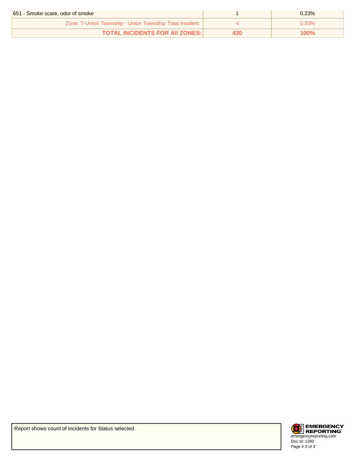| 651 - Smoke scare, odor of smoke                        | $0.23\%$ |
|---------------------------------------------------------|----------|
| Zone: T-Union Township - Union Township Total Incident: | ገ 93% በ  |
| <b>TOTAL INCIDENTS FOR AII ZONES: I</b>                 | 100%     |

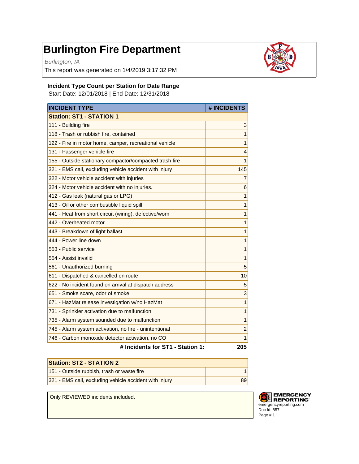Burlington, IA

This report was generated on 1/4/2019 3:17:32 PM



#### **Incident Type Count per Station for Date Range**

Start Date: 12/01/2018 | End Date: 12/31/2018

| <b>INCIDENT TYPE</b>                                    | # INCIDENTS             |
|---------------------------------------------------------|-------------------------|
| <b>Station: ST1 - STATION 1</b>                         |                         |
| 111 - Building fire                                     | 3                       |
| 118 - Trash or rubbish fire, contained                  | 1                       |
| 122 - Fire in motor home, camper, recreational vehicle  | 1                       |
| 131 - Passenger vehicle fire                            | $\overline{4}$          |
| 155 - Outside stationary compactor/compacted trash fire | 1                       |
| 321 - EMS call, excluding vehicle accident with injury  | 145                     |
| 322 - Motor vehicle accident with injuries              | $\overline{7}$          |
| 324 - Motor vehicle accident with no injuries.          | 6                       |
| 412 - Gas leak (natural gas or LPG)                     | $\mathbf{1}$            |
| 413 - Oil or other combustible liquid spill             | $\mathbf{1}$            |
| 441 - Heat from short circuit (wiring), defective/worn  | $\overline{1}$          |
| 442 - Overheated motor                                  | $\mathbf{1}$            |
| 443 - Breakdown of light ballast                        | $\overline{1}$          |
| 444 - Power line down                                   | $\mathbf{1}$            |
| 553 - Public service                                    | $\mathbf{1}$            |
| 554 - Assist invalid                                    | $\overline{1}$          |
| 561 - Unauthorized burning                              | 5                       |
| 611 - Dispatched & cancelled en route                   | 10                      |
| 622 - No incident found on arrival at dispatch address  | 5                       |
| 651 - Smoke scare, odor of smoke                        | 3                       |
| 671 - HazMat release investigation w/no HazMat          | $\mathbf{1}$            |
| 731 - Sprinkler activation due to malfunction           | $\overline{1}$          |
| 735 - Alarm system sounded due to malfunction           | $\mathbf{1}$            |
| 745 - Alarm system activation, no fire - unintentional  | $\overline{\mathbf{c}}$ |
| 746 - Carbon monoxide detector activation, no CO        | $\overline{1}$          |
| # Incidents for ST1 - Station 1:                        | 205                     |

| <b>Station: ST2 - STATION 2</b>                        |  |
|--------------------------------------------------------|--|
| 151 - Outside rubbish, trash or waste fire             |  |
| 321 - EMS call, excluding vehicle accident with injury |  |

Only REVIEWED incidents included.

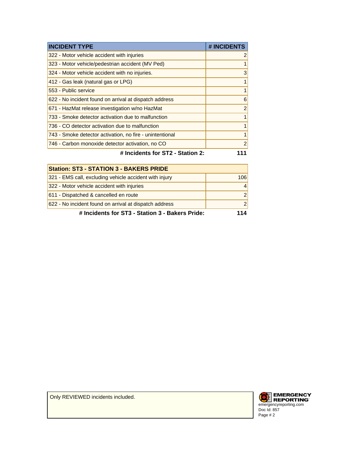| <b>INCIDENT TYPE</b>                                     | # INCIDENTS    |
|----------------------------------------------------------|----------------|
| 322 - Motor vehicle accident with injuries               | 2              |
| 323 - Motor vehicle/pedestrian accident (MV Ped)         |                |
| 324 - Motor vehicle accident with no injuries.           | 3              |
| 412 - Gas leak (natural gas or LPG)                      |                |
| 553 - Public service                                     |                |
| 622 - No incident found on arrival at dispatch address   | 6              |
| 671 - HazMat release investigation w/no HazMat           | $\overline{2}$ |
| 733 - Smoke detector activation due to malfunction       |                |
| 736 - CO detector activation due to malfunction          |                |
| 743 - Smoke detector activation, no fire - unintentional |                |
| 746 - Carbon monoxide detector activation, no CO         | 2              |
| # Incidents for ST2 - Station 2:                         |                |

| <b>Station: ST3 - STATION 3 - BAKERS PRIDE</b>         |               |
|--------------------------------------------------------|---------------|
| 321 - EMS call, excluding vehicle accident with injury | 106           |
| 322 - Motor vehicle accident with injuries             | 4             |
| 611 - Dispatched & cancelled en route                  | $\mathcal{P}$ |
| 622 - No incident found on arrival at dispatch address | $\mathcal{P}$ |
| # Incidents for ST3 - Station 3 - Bakers Pride:        | 14            |

Only REVIEWED incidents included.

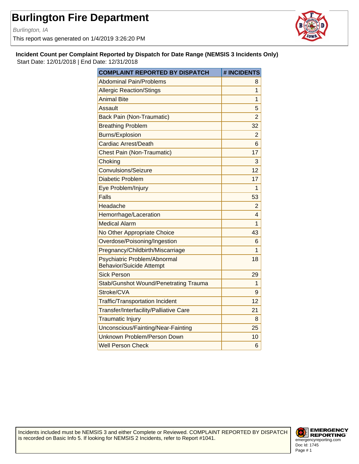Burlington, IA

This report was generated on 1/4/2019 3:26:20 PM



**Incident Count per Complaint Reported by Dispatch for Date Range (NEMSIS 3 Incidents Only)** Start Date: 12/01/2018 | End Date: 12/31/2018

| <b>COMPLAINT REPORTED BY DISPATCH</b>                           | # INCIDENTS    |
|-----------------------------------------------------------------|----------------|
| Abdominal Pain/Problems                                         | 8              |
| <b>Allergic Reaction/Stings</b>                                 | 1              |
| <b>Animal Bite</b>                                              | 1              |
| Assault                                                         | 5              |
| <b>Back Pain (Non-Traumatic)</b>                                | $\overline{2}$ |
| <b>Breathing Problem</b>                                        | 32             |
| <b>Burns/Explosion</b>                                          | $\overline{2}$ |
| Cardiac Arrest/Death                                            | 6              |
| <b>Chest Pain (Non-Traumatic)</b>                               | 17             |
| Choking                                                         | 3              |
| <b>Convulsions/Seizure</b>                                      | 12             |
| <b>Diabetic Problem</b>                                         | 17             |
| Eye Problem/Injury                                              | 1              |
| <b>Falls</b>                                                    | 53             |
| Headache                                                        | $\overline{2}$ |
| Hemorrhage/Laceration                                           | 4              |
| Medical Alarm                                                   | 1              |
| No Other Appropriate Choice                                     | 43             |
| Overdose/Poisoning/Ingestion                                    | 6              |
| Pregnancy/Childbirth/Miscarriage                                | 1              |
| Psychiatric Problem/Abnormal<br><b>Behavior/Suicide Attempt</b> | 18             |
| <b>Sick Person</b>                                              | 29             |
| <b>Stab/Gunshot Wound/Penetrating Trauma</b>                    | 1              |
| Stroke/CVA                                                      | 9              |
| <b>Traffic/Transportation Incident</b>                          | 12             |
| Transfer/Interfacility/Palliative Care                          | 21             |
| <b>Traumatic Injury</b>                                         | 8              |
| Unconscious/Fainting/Near-Fainting                              | 25             |
| Unknown Problem/Person Down                                     | 10             |
| <b>Well Person Check</b>                                        | 6              |

Incidents included must be NEMSIS 3 and either Complete or Reviewed. COMPLAINT REPORTED BY DISPATCH is recorded on Basic Info 5. If looking for NEMSIS 2 Incidents, refer to Report #1041.

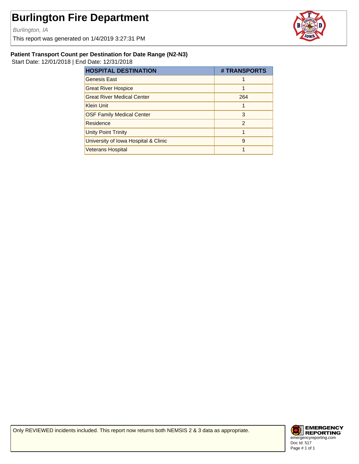Burlington, IA

This report was generated on 1/4/2019 3:27:31 PM



#### **Patient Transport Count per Destination for Date Range (N2-N3)**

Start Date: 12/01/2018 | End Date: 12/31/2018

| <b>HOSPITAL DESTINATION</b>          | # TRANSPORTS |
|--------------------------------------|--------------|
| <b>Genesis East</b>                  |              |
| <b>Great River Hospice</b>           |              |
| <b>Great River Medical Center</b>    | 264          |
| <b>Klein Unit</b>                    |              |
| <b>OSF Family Medical Center</b>     | 3            |
| Residence                            | 2            |
| <b>Unity Point Trinity</b>           |              |
| University of Iowa Hospital & Clinic | 9            |
| <b>Veterans Hospital</b>             |              |

Only REVIEWED incidents included. This report now returns both NEMSIS 2 & 3 data as appropriate.

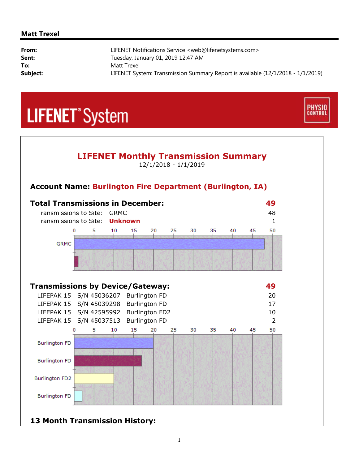#### **Matt Trexel**

| From:    | LIFENET Notifications Service <web@lifenetsystems.com></web@lifenetsystems.com> |
|----------|---------------------------------------------------------------------------------|
| Sent:    | Tuesday, January 01, 2019 12:47 AM                                              |
| To:      | Matt Trexel                                                                     |
| Subject: | LIFENET System: Transmission Summary Report is available (12/1/2018 - 1/1/2019) |

**PHYSIO**<br>CONTROL

## **LIFENET**<sup>\*</sup>System